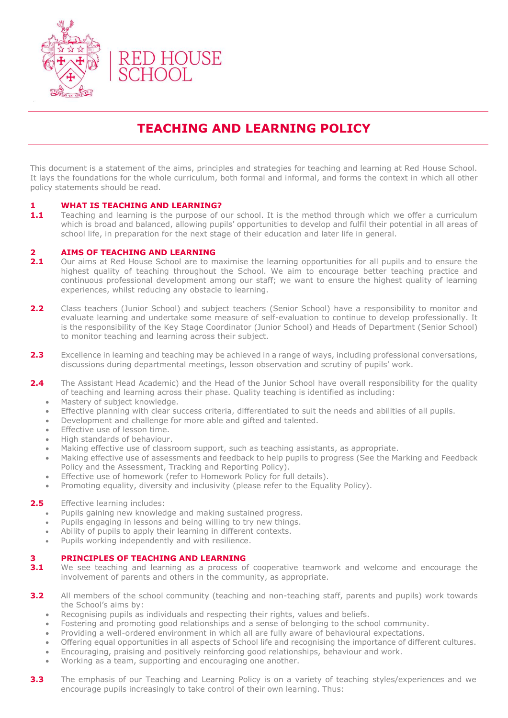

# **TEACHING AND LEARNING POLICY**

This document is a statement of the aims, principles and strategies for teaching and learning at Red House School. It lays the foundations for the whole curriculum, both formal and informal, and forms the context in which all other policy statements should be read.

### **1 WHAT IS TEACHING AND LEARNING?**

**1.1** Teaching and learning is the purpose of our school. It is the method through which we offer a curriculum which is broad and balanced, allowing pupils' opportunities to develop and fulfil their potential in all areas of school life, in preparation for the next stage of their education and later life in general.

#### **2 AIMS OF TEACHING AND LEARNING**

- 2.1 Our aims at Red House School are to maximise the learning opportunities for all pupils and to ensure the highest quality of teaching throughout the School. We aim to encourage better teaching practice and continuous professional development among our staff; we want to ensure the highest quality of learning experiences, whilst reducing any obstacle to learning.
- **2.2** Class teachers (Junior School) and subject teachers (Senior School) have a responsibility to monitor and evaluate learning and undertake some measure of self-evaluation to continue to develop professionally. It is the responsibility of the Key Stage Coordinator (Junior School) and Heads of Department (Senior School) to monitor teaching and learning across their subject.
- **2.3** Excellence in learning and teaching may be achieved in a range of ways, including professional conversations, discussions during departmental meetings, lesson observation and scrutiny of pupils' work.
- **2.4** The Assistant Head Academic) and the Head of the Junior School have overall responsibility for the quality of teaching and learning across their phase. Quality teaching is identified as including:
	- Mastery of subject knowledge.
	- Effective planning with clear success criteria, differentiated to suit the needs and abilities of all pupils.
	- Development and challenge for more able and gifted and talented.
	- Effective use of lesson time.
	- High standards of behaviour.
	- Making effective use of classroom support, such as teaching assistants, as appropriate.
	- Making effective use of assessments and feedback to help pupils to progress (See the Marking and Feedback Policy and the Assessment, Tracking and Reporting Policy).
	- Effective use of homework (refer to Homework Policy for full details).
	- Promoting equality, diversity and inclusivity (please refer to the Equality Policy).

#### **2.5** Effective learning includes:

- Pupils gaining new knowledge and making sustained progress.
- Pupils engaging in lessons and being willing to try new things.
- Ability of pupils to apply their learning in different contexts.
- Pupils working independently and with resilience.

#### **3 PRINCIPLES OF TEACHING AND LEARNING**

- **3.1** We see teaching and learning as a process of cooperative teamwork and welcome and encourage the involvement of parents and others in the community, as appropriate.
- **3.2** All members of the school community (teaching and non-teaching staff, parents and pupils) work towards the School's aims by:
	- Recognising pupils as individuals and respecting their rights, values and beliefs.
	- Fostering and promoting good relationships and a sense of belonging to the school community.
	- Providing a well-ordered environment in which all are fully aware of behavioural expectations.
	- Offering equal opportunities in all aspects of School life and recognising the importance of different cultures.
	- Encouraging, praising and positively reinforcing good relationships, behaviour and work.
	- Working as a team, supporting and encouraging one another.
- **3.3** The emphasis of our Teaching and Learning Policy is on a variety of teaching styles/experiences and we encourage pupils increasingly to take control of their own learning. Thus: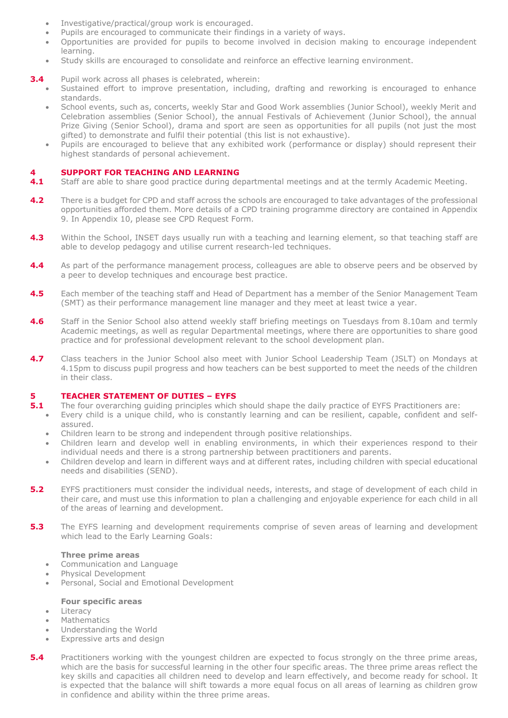- Investigative/practical/group work is encouraged.
- Pupils are encouraged to communicate their findings in a variety of ways.
- Opportunities are provided for pupils to become involved in decision making to encourage independent learning.
- Study skills are encouraged to consolidate and reinforce an effective learning environment.
- **3.4** Pupil work across all phases is celebrated, wherein:
	- Sustained effort to improve presentation, including, drafting and reworking is encouraged to enhance standards.
	- School events, such as, concerts, weekly Star and Good Work assemblies (Junior School), weekly Merit and Celebration assemblies (Senior School), the annual Festivals of Achievement (Junior School), the annual Prize Giving (Senior School), drama and sport are seen as opportunities for all pupils (not just the most gifted) to demonstrate and fulfil their potential (this list is not exhaustive).
	- Pupils are encouraged to believe that any exhibited work (performance or display) should represent their highest standards of personal achievement.

#### **4 SUPPORT FOR TEACHING AND LEARNING**

- **4.1** Staff are able to share good practice during departmental meetings and at the termly Academic Meeting.
- **4.2** There is a budget for CPD and staff across the schools are encouraged to take advantages of the professional opportunities afforded them. More details of a CPD training programme directory are contained in Appendix 9. In Appendix 10, please see CPD Request Form.
- **4.3** Within the School, INSET days usually run with a teaching and learning element, so that teaching staff are able to develop pedagogy and utilise current research-led techniques.
- **4.4** As part of the performance management process, colleagues are able to observe peers and be observed by a peer to develop techniques and encourage best practice.
- **4.5** Each member of the teaching staff and Head of Department has a member of the Senior Management Team (SMT) as their performance management line manager and they meet at least twice a year.
- **4.6** Staff in the Senior School also attend weekly staff briefing meetings on Tuesdays from 8.10am and termly Academic meetings, as well as regular Departmental meetings, where there are opportunities to share good practice and for professional development relevant to the school development plan.
- **4.7** Class teachers in the Junior School also meet with Junior School Leadership Team (JSLT) on Mondays at 4.15pm to discuss pupil progress and how teachers can be best supported to meet the needs of the children in their class.

# **5 TEACHER STATEMENT OF DUTIES – EYFS**

- **5.1** The four overarching guiding principles which should shape the daily practice of EYFS Practitioners are:
	- Every child is a unique child, who is constantly learning and can be resilient, capable, confident and selfassured.
	- Children learn to be strong and independent through positive relationships.
	- Children learn and develop well in enabling environments, in which their experiences respond to their individual needs and there is a strong partnership between practitioners and parents.
	- Children develop and learn in different ways and at different rates, including children with special educational needs and disabilities (SEND).
- **5.2** EYFS practitioners must consider the individual needs, interests, and stage of development of each child in their care, and must use this information to plan a challenging and enjoyable experience for each child in all of the areas of learning and development.
- **5.3** The EYFS learning and development requirements comprise of seven areas of learning and development which lead to the Early Learning Goals:

#### **Three prime areas**

- Communication and Language
- Physical Development
- Personal, Social and Emotional Development

#### **Four specific areas**

- Literacy
- Mathematics
- Understanding the World
- Expressive arts and design
- **5.4** Practitioners working with the youngest children are expected to focus strongly on the three prime areas, which are the basis for successful learning in the other four specific areas. The three prime areas reflect the key skills and capacities all children need to develop and learn effectively, and become ready for school. It is expected that the balance will shift towards a more equal focus on all areas of learning as children grow in confidence and ability within the three prime areas.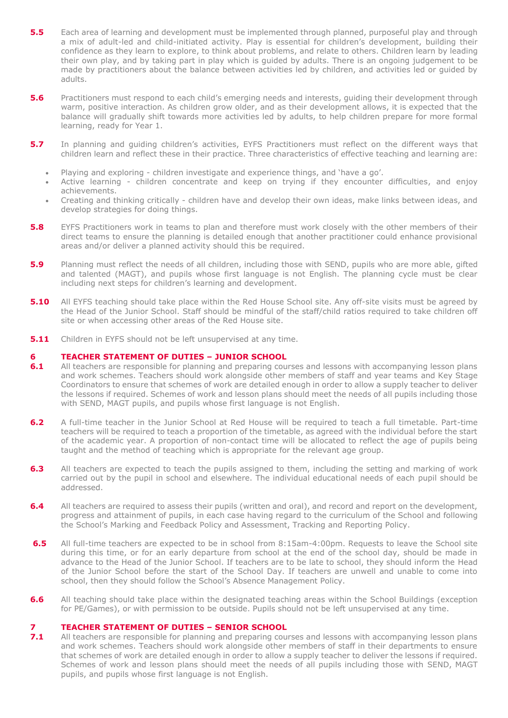- **5.5** Each area of learning and development must be implemented through planned, purposeful play and through a mix of adult-led and child-initiated activity. Play is essential for children's development, building their confidence as they learn to explore, to think about problems, and relate to others. Children learn by leading their own play, and by taking part in play which is guided by adults. There is an ongoing judgement to be made by practitioners about the balance between activities led by children, and activities led or guided by adults.
- **5.6** Practitioners must respond to each child's emerging needs and interests, quiding their development through warm, positive interaction. As children grow older, and as their development allows, it is expected that the balance will gradually shift towards more activities led by adults, to help children prepare for more formal learning, ready for Year 1.
- **5.7** In planning and guiding children's activities, EYFS Practitioners must reflect on the different ways that children learn and reflect these in their practice. Three characteristics of effective teaching and learning are:
	- Playing and exploring children investigate and experience things, and 'have a go'.
	- Active learning children concentrate and keep on trying if they encounter difficulties, and enjoy achievements.
	- Creating and thinking critically children have and develop their own ideas, make links between ideas, and develop strategies for doing things.
- **5.8** EYFS Practitioners work in teams to plan and therefore must work closely with the other members of their direct teams to ensure the planning is detailed enough that another practitioner could enhance provisional areas and/or deliver a planned activity should this be required.
- **5.9** Planning must reflect the needs of all children, including those with SEND, pupils who are more able, gifted and talented (MAGT), and pupils whose first language is not English. The planning cycle must be clear including next steps for children's learning and development.
- **5.10** All EYFS teaching should take place within the Red House School site. Any off-site visits must be agreed by the Head of the Junior School. Staff should be mindful of the staff/child ratios required to take children off site or when accessing other areas of the Red House site.
- **5.11** Children in EYFS should not be left unsupervised at any time.

#### **6 TEACHER STATEMENT OF DUTIES – JUNIOR SCHOOL**

- **6.1** All teachers are responsible for planning and preparing courses and lessons with accompanying lesson plans and work schemes. Teachers should work alongside other members of staff and year teams and Key Stage Coordinators to ensure that schemes of work are detailed enough in order to allow a supply teacher to deliver the lessons if required. Schemes of work and lesson plans should meet the needs of all pupils including those with SEND, MAGT pupils, and pupils whose first language is not English.
- **6.2** A full-time teacher in the Junior School at Red House will be required to teach a full timetable. Part-time teachers will be required to teach a proportion of the timetable, as agreed with the individual before the start of the academic year. A proportion of non-contact time will be allocated to reflect the age of pupils being taught and the method of teaching which is appropriate for the relevant age group.
- **6.3** All teachers are expected to teach the pupils assigned to them, including the setting and marking of work carried out by the pupil in school and elsewhere. The individual educational needs of each pupil should be addressed.
- **6.4** All teachers are required to assess their pupils (written and oral), and record and report on the development, progress and attainment of pupils, in each case having regard to the curriculum of the School and following the School's Marking and Feedback Policy and Assessment, Tracking and Reporting Policy.
- **6.5** All full-time teachers are expected to be in school from 8:15am-4:00pm. Requests to leave the School site during this time, or for an early departure from school at the end of the school day, should be made in advance to the Head of the Junior School. If teachers are to be late to school, they should inform the Head of the Junior School before the start of the School Day. If teachers are unwell and unable to come into school, then they should follow the School's Absence Management Policy.
- **6.6** All teaching should take place within the designated teaching areas within the School Buildings (exception for PE/Games), or with permission to be outside. Pupils should not be left unsupervised at any time.

# **7 TEACHER STATEMENT OF DUTIES – SENIOR SCHOOL**<br>**7.1** All teachers are responsible for planning and preparing cou

**7.1** All teachers are responsible for planning and preparing courses and lessons with accompanying lesson plans and work schemes. Teachers should work alongside other members of staff in their departments to ensure that schemes of work are detailed enough in order to allow a supply teacher to deliver the lessons if required. Schemes of work and lesson plans should meet the needs of all pupils including those with SEND, MAGT pupils, and pupils whose first language is not English.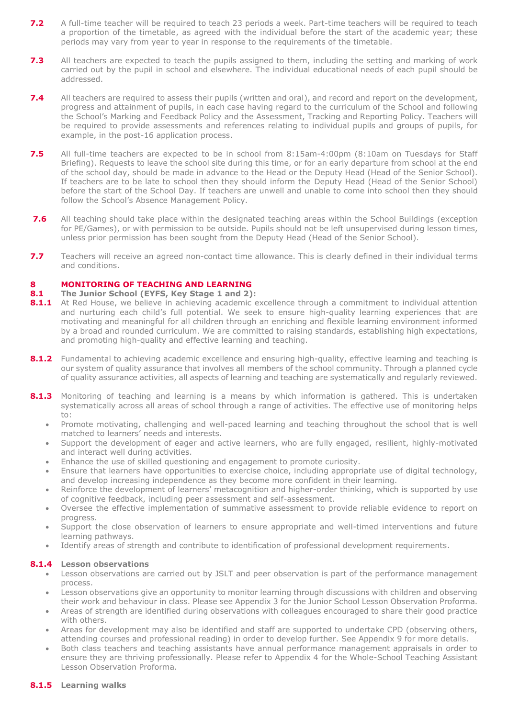- 7.2 A full-time teacher will be required to teach 23 periods a week. Part-time teachers will be required to teach a proportion of the timetable, as agreed with the individual before the start of the academic year; these periods may vary from year to year in response to the requirements of the timetable.
- **7.3** All teachers are expected to teach the pupils assigned to them, including the setting and marking of work carried out by the pupil in school and elsewhere. The individual educational needs of each pupil should be addressed.
- **7.4** All teachers are required to assess their pupils (written and oral), and record and report on the development, progress and attainment of pupils, in each case having regard to the curriculum of the School and following the School's Marking and Feedback Policy and the Assessment, Tracking and Reporting Policy. Teachers will be required to provide assessments and references relating to individual pupils and groups of pupils, for example, in the post-16 application process.
- **7.5** All full-time teachers are expected to be in school from 8:15am-4:00pm (8:10am on Tuesdays for Staff Briefing). Requests to leave the school site during this time, or for an early departure from school at the end of the school day, should be made in advance to the Head or the Deputy Head (Head of the Senior School). If teachers are to be late to school then they should inform the Deputy Head (Head of the Senior School) before the start of the School Day. If teachers are unwell and unable to come into school then they should follow the School's Absence Management Policy.
- **7.6** All teaching should take place within the designated teaching areas within the School Buildings (exception for PE/Games), or with permission to be outside. Pupils should not be left unsupervised during lesson times, unless prior permission has been sought from the Deputy Head (Head of the Senior School).
- **7.7** Teachers will receive an agreed non-contact time allowance. This is clearly defined in their individual terms and conditions.

### **8 MONITORING OF TEACHING AND LEARNING**

### **8.1 The Junior School (EYFS, Key Stage 1 and 2):**

- 8.1.1 At Red House, we believe in achieving academic excellence through a commitment to individual attention and nurturing each child's full potential. We seek to ensure high-quality learning experiences that are motivating and meaningful for all children through an enriching and flexible learning environment informed by a broad and rounded curriculum. We are committed to raising standards, establishing high expectations, and promoting high-quality and effective learning and teaching.
- 8.1.2 Fundamental to achieving academic excellence and ensuring high-quality, effective learning and teaching is our system of quality assurance that involves all members of the school community. Through a planned cycle of quality assurance activities, all aspects of learning and teaching are systematically and regularly reviewed.
- 8.1.3 Monitoring of teaching and learning is a means by which information is gathered. This is undertaken systematically across all areas of school through a range of activities. The effective use of monitoring helps to:
	- Promote motivating, challenging and well-paced learning and teaching throughout the school that is well matched to learners' needs and interests.
	- Support the development of eager and active learners, who are fully engaged, resilient, highly-motivated and interact well during activities.
	- Enhance the use of skilled questioning and engagement to promote curiosity.
	- Ensure that learners have opportunities to exercise choice, including appropriate use of digital technology, and develop increasing independence as they become more confident in their learning.
	- Reinforce the development of learners' metacognition and higher-order thinking, which is supported by use of cognitive feedback, including peer assessment and self-assessment.
	- Oversee the effective implementation of summative assessment to provide reliable evidence to report on progress.
	- Support the close observation of learners to ensure appropriate and well-timed interventions and future learning pathways.
	- Identify areas of strength and contribute to identification of professional development requirements.

#### **8.1.4 Lesson observations**

- Lesson observations are carried out by JSLT and peer observation is part of the performance management process.
- Lesson observations give an opportunity to monitor learning through discussions with children and observing their work and behaviour in class. Please see Appendix 3 for the Junior School Lesson Observation Proforma.
- Areas of strength are identified during observations with colleagues encouraged to share their good practice with others.
- Areas for development may also be identified and staff are supported to undertake CPD (observing others, attending courses and professional reading) in order to develop further. See Appendix 9 for more details.
- Both class teachers and teaching assistants have annual performance management appraisals in order to ensure they are thriving professionally. Please refer to Appendix 4 for the Whole-School Teaching Assistant Lesson Observation Proforma.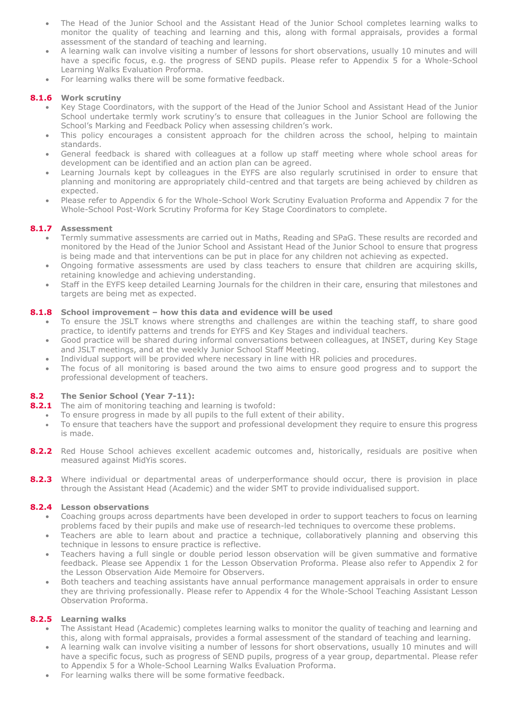- The Head of the Junior School and the Assistant Head of the Junior School completes learning walks to monitor the quality of teaching and learning and this, along with formal appraisals, provides a formal assessment of the standard of teaching and learning.
- A learning walk can involve visiting a number of lessons for short observations, usually 10 minutes and will have a specific focus, e.g. the progress of SEND pupils. Please refer to Appendix 5 for a Whole-School Learning Walks Evaluation Proforma.
- For learning walks there will be some formative feedback.

# **8.1.6 Work scrutiny**

- Key Stage Coordinators, with the support of the Head of the Junior School and Assistant Head of the Junior School undertake termly work scrutiny's to ensure that colleagues in the Junior School are following the School's Marking and Feedback Policy when assessing children's work.
- This policy encourages a consistent approach for the children across the school, helping to maintain standards.
- General feedback is shared with colleagues at a follow up staff meeting where whole school areas for development can be identified and an action plan can be agreed.
- Learning Journals kept by colleagues in the EYFS are also regularly scrutinised in order to ensure that planning and monitoring are appropriately child-centred and that targets are being achieved by children as expected.
- Please refer to Appendix 6 for the Whole-School Work Scrutiny Evaluation Proforma and Appendix 7 for the Whole-School Post-Work Scrutiny Proforma for Key Stage Coordinators to complete.

### **8.1.7 Assessment**

- Termly summative assessments are carried out in Maths, Reading and SPaG. These results are recorded and monitored by the Head of the Junior School and Assistant Head of the Junior School to ensure that progress is being made and that interventions can be put in place for any children not achieving as expected.
- Ongoing formative assessments are used by class teachers to ensure that children are acquiring skills, retaining knowledge and achieving understanding.
- Staff in the EYFS keep detailed Learning Journals for the children in their care, ensuring that milestones and targets are being met as expected.

### **8.1.8 School improvement – how this data and evidence will be used**

- To ensure the JSLT knows where strengths and challenges are within the teaching staff, to share good practice, to identify patterns and trends for EYFS and Key Stages and individual teachers.
- Good practice will be shared during informal conversations between colleagues, at INSET, during Key Stage and JSLT meetings, and at the weekly Junior School Staff Meeting.
- Individual support will be provided where necessary in line with HR policies and procedures.
- The focus of all monitoring is based around the two aims to ensure good progress and to support the professional development of teachers.

# **8.2 The Senior School (Year 7-11):**

- **8.2.1** The aim of monitoring teaching and learning is twofold:
	- To ensure progress in made by all pupils to the full extent of their ability.
	- To ensure that teachers have the support and professional development they require to ensure this progress is made.
- **8.2.2** Red House School achieves excellent academic outcomes and, historically, residuals are positive when measured against MidYis scores.
- **8.2.3** Where individual or departmental areas of underperformance should occur, there is provision in place through the Assistant Head (Academic) and the wider SMT to provide individualised support.

#### **8.2.4 Lesson observations**

- Coaching groups across departments have been developed in order to support teachers to focus on learning problems faced by their pupils and make use of research-led techniques to overcome these problems.
- Teachers are able to learn about and practice a technique, collaboratively planning and observing this technique in lessons to ensure practice is reflective.
- Teachers having a full single or double period lesson observation will be given summative and formative feedback. Please see Appendix 1 for the Lesson Observation Proforma. Please also refer to Appendix 2 for the Lesson Observation Aide Memoire for Observers.
- Both teachers and teaching assistants have annual performance management appraisals in order to ensure they are thriving professionally. Please refer to Appendix 4 for the Whole-School Teaching Assistant Lesson Observation Proforma.

#### **8.2.5 Learning walks**

- The Assistant Head (Academic) completes learning walks to monitor the quality of teaching and learning and this, along with formal appraisals, provides a formal assessment of the standard of teaching and learning.
- A learning walk can involve visiting a number of lessons for short observations, usually 10 minutes and will have a specific focus, such as progress of SEND pupils, progress of a year group, departmental. Please refer to Appendix 5 for a Whole-School Learning Walks Evaluation Proforma.
- For learning walks there will be some formative feedback.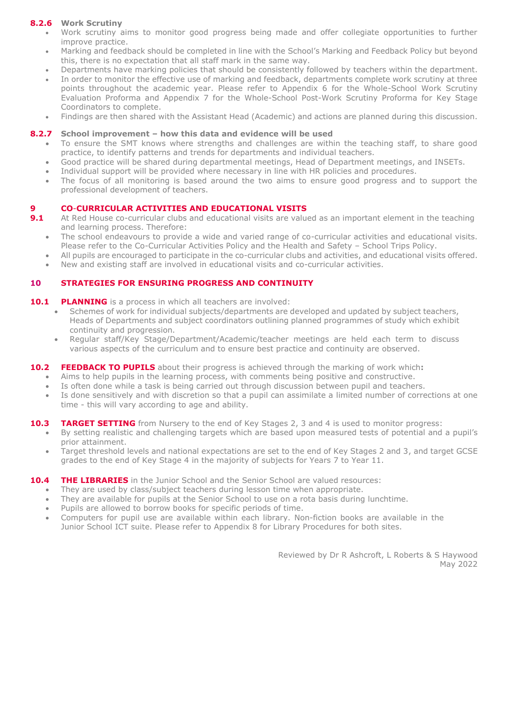## **8.2.6 Work Scrutiny**

- Work scrutiny aims to monitor good progress being made and offer collegiate opportunities to further improve practice.
- Marking and feedback should be completed in line with the School's Marking and Feedback Policy but beyond this, there is no expectation that all staff mark in the same way.
- Departments have marking policies that should be consistently followed by teachers within the department.
- In order to monitor the effective use of marking and feedback, departments complete work scrutiny at three points throughout the academic year. Please refer to Appendix 6 for the Whole-School Work Scrutiny Evaluation Proforma and Appendix 7 for the Whole-School Post-Work Scrutiny Proforma for Key Stage Coordinators to complete.
- Findings are then shared with the Assistant Head (Academic) and actions are planned during this discussion.

#### **8.2.7 School improvement – how this data and evidence will be used**

- To ensure the SMT knows where strengths and challenges are within the teaching staff, to share good practice, to identify patterns and trends for departments and individual teachers.
- Good practice will be shared during departmental meetings, Head of Department meetings, and INSETs.
- Individual support will be provided where necessary in line with HR policies and procedures.
- The focus of all monitoring is based around the two aims to ensure good progress and to support the professional development of teachers.

#### **9 CO**-**CURRICULAR ACTIVITIES AND EDUCATIONAL VISITS**

- **9.1** At Red House co-curricular clubs and educational visits are valued as an important element in the teaching and learning process. Therefore:
	- The school endeavours to provide a wide and varied range of co-curricular activities and educational visits. Please refer to the Co-Curricular Activities Policy and the Health and Safety – School Trips Policy.
	- All pupils are encouraged to participate in the co-curricular clubs and activities, and educational visits offered.
	- New and existing staff are involved in educational visits and co-curricular activities.

#### **10 STRATEGIES FOR ENSURING PROGRESS AND CONTINUITY**

#### **10.1 PLANNING** is a process in which all teachers are involved:

- Schemes of work for individual subjects/departments are developed and updated by subject teachers, Heads of Departments and subject coordinators outlining planned programmes of study which exhibit continuity and progression.
- Regular staff/Key Stage/Department/Academic/teacher meetings are held each term to discuss various aspects of the curriculum and to ensure best practice and continuity are observed.

#### **10.2 FEEDBACK TO PUPILS** about their progress is achieved through the marking of work which**:**

- Aims to help pupils in the learning process, with comments being positive and constructive.
- Is often done while a task is being carried out through discussion between pupil and teachers.
- Is done sensitively and with discretion so that a pupil can assimilate a limited number of corrections at one time - this will vary according to age and ability.

#### **10.3 TARGET SETTING** from Nursery to the end of Key Stages 2, 3 and 4 is used to monitor progress:

- By setting realistic and challenging targets which are based upon measured tests of potential and a pupil's prior attainment.
- Target threshold levels and national expectations are set to the end of Key Stages 2 and 3, and target GCSE grades to the end of Key Stage 4 in the majority of subjects for Years 7 to Year 11.

#### **10.4 THE LIBRARIES** in the Junior School and the Senior School are valued resources:

- They are used by class/subject teachers during lesson time when appropriate.
- They are available for pupils at the Senior School to use on a rota basis during lunchtime.
- Pupils are allowed to borrow books for specific periods of time.
- Computers for pupil use are available within each library. Non-fiction books are available in the Junior School ICT suite. Please refer to Appendix 8 for Library Procedures for both sites.

Reviewed by Dr R Ashcroft, L Roberts & S Haywood May 2022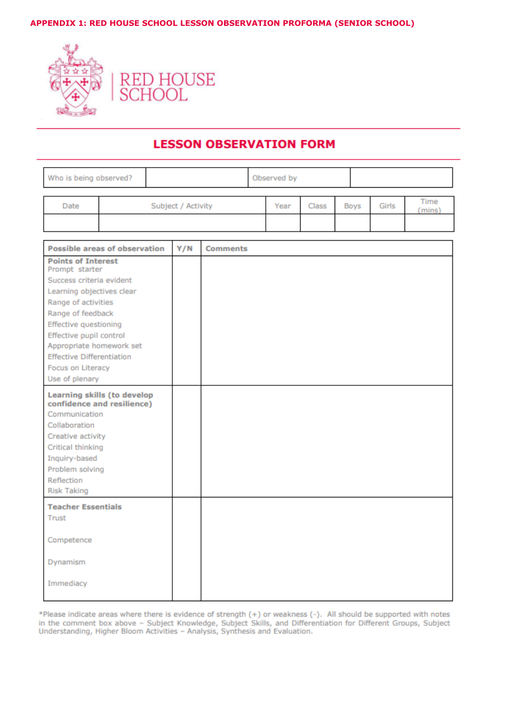### **APPENDIX 1: RED HOUSE SCHOOL LESSON OBSERVATION PROFORMA (SENIOR SCHOOL)**



# **LESSON OBSERVATION FORM**

| Who is being observed? |  |                    | Observed by |  |       |      |       |               |
|------------------------|--|--------------------|-------------|--|-------|------|-------|---------------|
| Date                   |  | Subject / Activity |             |  | Class | Boys | Girls | Time<br>mins) |
|                        |  |                    |             |  |       |      |       |               |

| <b>Possible areas of observation</b>                    | Y/N | <b>Comments</b> |
|---------------------------------------------------------|-----|-----------------|
| <b>Points of Interest</b>                               |     |                 |
| Prompt starter<br>Success criteria evident              |     |                 |
| Learning objectives clear                               |     |                 |
|                                                         |     |                 |
| Range of activities<br>Range of feedback                |     |                 |
|                                                         |     |                 |
| <b>Effective questioning</b><br>Effective pupil control |     |                 |
| Appropriate homework set                                |     |                 |
| <b>Effective Differentiation</b>                        |     |                 |
| Focus on Literacy                                       |     |                 |
| Use of plenary                                          |     |                 |
|                                                         |     |                 |
| Learning skills (to develop                             |     |                 |
| confidence and resilience)                              |     |                 |
| Communication                                           |     |                 |
| Collaboration                                           |     |                 |
| Creative activity                                       |     |                 |
| Critical thinking                                       |     |                 |
| Inquiry-based                                           |     |                 |
| Problem solving                                         |     |                 |
| Reflection                                              |     |                 |
| <b>Risk Taking</b>                                      |     |                 |
| <b>Teacher Essentials</b>                               |     |                 |
| Trust                                                   |     |                 |
|                                                         |     |                 |
| Competence                                              |     |                 |
|                                                         |     |                 |
| Dynamism                                                |     |                 |
|                                                         |     |                 |
| Immediacy                                               |     |                 |
|                                                         |     |                 |

\*Please indicate areas where there is evidence of strength (+) or weakness (-). All should be supported with notes in the comment box above - Subject Knowledge, Subject Skills, and Differentiation for Different Groups, Subject<br>Understanding, Higher Bloom Activities - Analysis, Synthesis and Evaluation.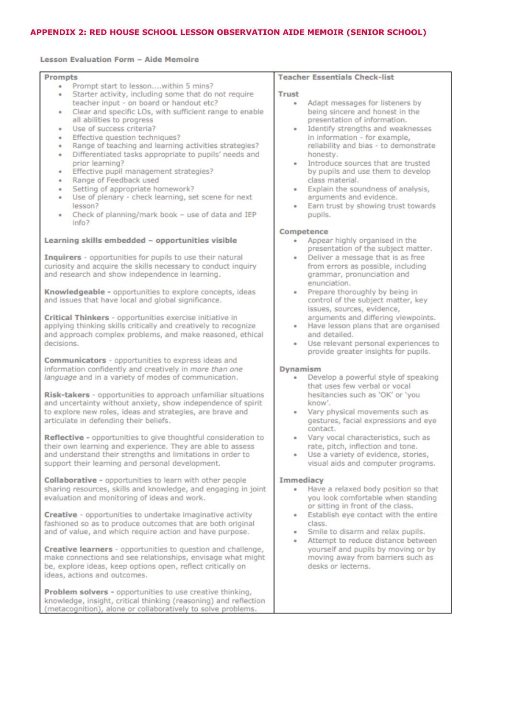# **APPENDIX 2: RED HOUSE SCHOOL LESSON OBSERVATION AIDE MEMOIR (SENIOR SCHOOL)**

#### Lesson Evaluation Form - Aide Memoire

| <b>Prompts</b>                                                          | <b>Teacher Essentials Check-list</b>                                              |
|-------------------------------------------------------------------------|-----------------------------------------------------------------------------------|
| Prompt start to lessonwithin 5 mins?<br>٠                               |                                                                                   |
| Starter activity, including some that do not require<br>٠               | <b>Trust</b>                                                                      |
| teacher input - on board or handout etc?                                | Adapt messages for listeners by<br>٠                                              |
| Clear and specific LOs, with sufficient range to enable<br>٠            | being sincere and honest in the                                                   |
| all abilities to progress<br>Use of success criteria?                   | presentation of information.<br>Identify strengths and weaknesses                 |
| ٠<br>Effective question techniques?<br>٠                                | ٠<br>in information - for example,                                                |
| Range of teaching and learning activities strategies?<br>٠              | reliability and bias - to demonstrate                                             |
| Differentiated tasks appropriate to pupils' needs and<br>٠              | honesty.                                                                          |
| prior learning?                                                         | Introduce sources that are trusted<br>٠                                           |
| Effective pupil management strategies?<br>٠                             | by pupils and use them to develop                                                 |
| Range of Feedback used<br>٠                                             | class material.                                                                   |
| Setting of appropriate homework?<br>٠                                   | Explain the soundness of analysis,<br>٠                                           |
| Use of plenary - check learning, set scene for next<br>٠                | arguments and evidence.                                                           |
| lesson?                                                                 | Earn trust by showing trust towards<br>٠                                          |
| Check of planning/mark book - use of data and IEP                       | pupils.                                                                           |
| info?                                                                   |                                                                                   |
| Learning skills embedded - opportunities visible                        | Competence<br>Appear highly organised in the<br>٠                                 |
|                                                                         | presentation of the subject matter.                                               |
| Inquirers - opportunities for pupils to use their natural               | Deliver a message that is as free<br>٠                                            |
| curiosity and acquire the skills necessary to conduct inquiry           | from errors as possible, including                                                |
| and research and show independence in learning.                         | grammar, pronunciation and                                                        |
|                                                                         | enunciation.                                                                      |
| Knowledgeable - opportunities to explore concepts, ideas                | Prepare thoroughly by being in<br>٠                                               |
| and issues that have local and global significance.                     | control of the subject matter, key                                                |
|                                                                         | issues, sources, evidence,                                                        |
| Critical Thinkers - opportunities exercise initiative in                | arguments and differing viewpoints.                                               |
| applying thinking skills critically and creatively to recognize         | Have lesson plans that are organised<br>٠                                         |
| and approach complex problems, and make reasoned, ethical<br>decisions. | and detailed.                                                                     |
|                                                                         | Use relevant personal experiences to<br>٠<br>provide greater insights for pupils. |
| <b>Communicators</b> - opportunities to express ideas and               |                                                                                   |
| information confidently and creatively in more than one                 | <b>Dynamism</b>                                                                   |
| language and in a variety of modes of communication.                    | Develop a powerful style of speaking<br>٠                                         |
|                                                                         | that uses few verbal or vocal                                                     |
| Risk-takers - opportunities to approach unfamiliar situations           | hesitancies such as 'OK' or 'you                                                  |
| and uncertainty without anxiety, show independence of spirit            | know'.                                                                            |
| to explore new roles, ideas and strategies, are brave and               | Vary physical movements such as                                                   |
| articulate in defending their beliefs.                                  | gestures, facial expressions and eye                                              |
| Reflective - opportunities to give thoughtful consideration to          | contact.<br>Vary vocal characteristics, such as                                   |
| their own learning and experience. They are able to assess              | rate, pitch, inflection and tone.                                                 |
| and understand their strengths and limitations in order to              | Use a variety of evidence, stories,                                               |
| support their learning and personal development.                        | visual aids and computer programs.                                                |
|                                                                         |                                                                                   |
| Collaborative - opportunities to learn with other people                | <b>Immediacy</b>                                                                  |
| sharing resources, skills and knowledge, and engaging in joint          | Have a relaxed body position so that<br>٠                                         |
| evaluation and monitoring of ideas and work.                            | you look comfortable when standing                                                |
|                                                                         | or sitting in front of the class.                                                 |
| Creative - opportunities to undertake imaginative activity              | Establish eye contact with the entire<br>٠                                        |
| fashioned so as to produce outcomes that are both original              | class.                                                                            |
| and of value, and which require action and have purpose.                | Smile to disarm and relax pupils.<br>۰<br>Attempt to reduce distance between<br>٠ |
| Creative learners - opportunities to question and challenge,            | yourself and pupils by moving or by                                               |
| make connections and see relationships, envisage what might             | moving away from barriers such as                                                 |
| be, explore ideas, keep options open, reflect critically on             | desks or lecterns.                                                                |
| ideas, actions and outcomes.                                            |                                                                                   |
|                                                                         |                                                                                   |
| Problem solvers - opportunities to use creative thinking,               |                                                                                   |
| knowledge, insight, critical thinking (reasoning) and reflection        |                                                                                   |
| (metacognition), alone or collaboratively to solve problems.            |                                                                                   |
|                                                                         |                                                                                   |
|                                                                         |                                                                                   |
|                                                                         |                                                                                   |
|                                                                         |                                                                                   |
|                                                                         |                                                                                   |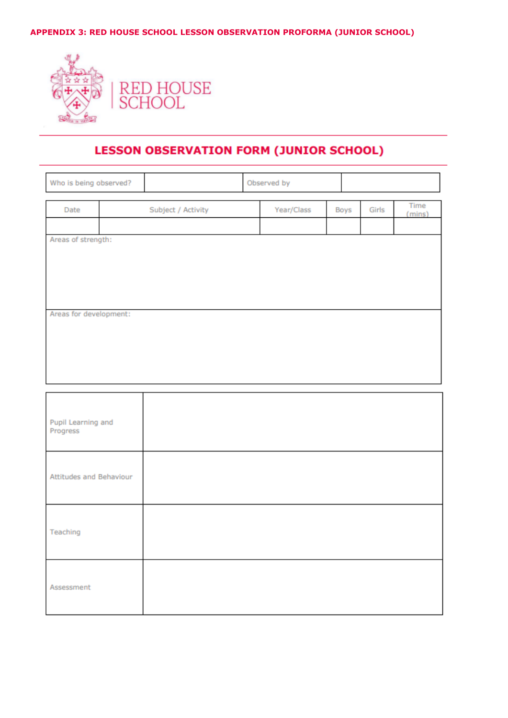**APPENDIX 3: RED HOUSE SCHOOL LESSON OBSERVATION PROFORMA (JUNIOR SCHOOL)**



# **LESSON OBSERVATION FORM (JUNIOR SCHOOL)**

| Who is being observed? |  | Observed by        |  |            |  |      |       |                |
|------------------------|--|--------------------|--|------------|--|------|-------|----------------|
| Date                   |  | Subject / Activity |  | Year/Class |  | Boys | Girls | Time<br>(mins) |
|                        |  |                    |  |            |  |      |       |                |
| Areas of strength:     |  |                    |  |            |  |      |       |                |
|                        |  |                    |  |            |  |      |       |                |
|                        |  |                    |  |            |  |      |       |                |
|                        |  |                    |  |            |  |      |       |                |
|                        |  |                    |  |            |  |      |       |                |
| Areas for development: |  |                    |  |            |  |      |       |                |
|                        |  |                    |  |            |  |      |       |                |
|                        |  |                    |  |            |  |      |       |                |
|                        |  |                    |  |            |  |      |       |                |

| Pupil Learning and<br>Progress |  |
|--------------------------------|--|
| Attitudes and Behaviour        |  |
| Teaching                       |  |
| Assessment                     |  |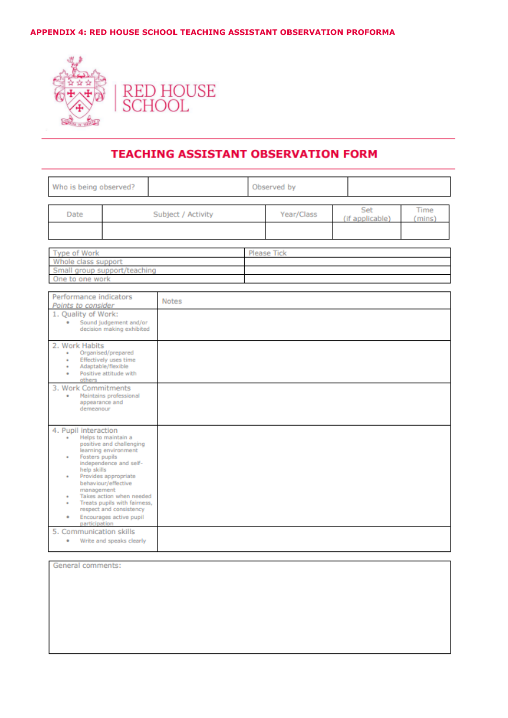## **APPENDIX 4: RED HOUSE SCHOOL TEACHING ASSISTANT OBSERVATION PROFORMA**



# **TEACHING ASSISTANT OBSERVATION FORM**

| Who is being observed?                                                                                                                                                                                                                      |                    |  | Observed by |                        |                |
|---------------------------------------------------------------------------------------------------------------------------------------------------------------------------------------------------------------------------------------------|--------------------|--|-------------|------------------------|----------------|
| Date                                                                                                                                                                                                                                        | Subject / Activity |  |             | Set<br>(if applicable) | Time<br>(mins) |
| Type of Work<br>Whole class support<br>Small group support/teaching<br>One to one work                                                                                                                                                      |                    |  | Please Tick |                        |                |
| Performance indicators<br><b>Notes</b><br>Points to consider<br>1. Quality of Work:<br>Sound judgement and/or<br>decision making exhibited                                                                                                  |                    |  |             |                        |                |
| 2. Work Habits<br>Organised/prepared<br>٠<br>Effectively uses time<br>٠<br>Adaptable/flexible<br>٠<br>Positive attitude with<br>others<br>3. Work Commitments<br>Maintains professional<br>٠                                                |                    |  |             |                        |                |
| appearance and<br>demeanour<br>4. Pupil interaction<br>Helps to maintain a<br>٠<br>positive and challenging<br>learning environment                                                                                                         |                    |  |             |                        |                |
| Fosters pupils<br>independence and self-<br>help skills<br>Provides appropriate<br>behaviour/effective<br>management<br>Takes action when needed<br>٠<br>Treats pupils with fairness,<br>respect and consistency<br>Encourages active pupil |                    |  |             |                        |                |
| participation<br>5. Communication skills<br>Write and speaks clearly<br>٠                                                                                                                                                                   |                    |  |             |                        |                |

General comments: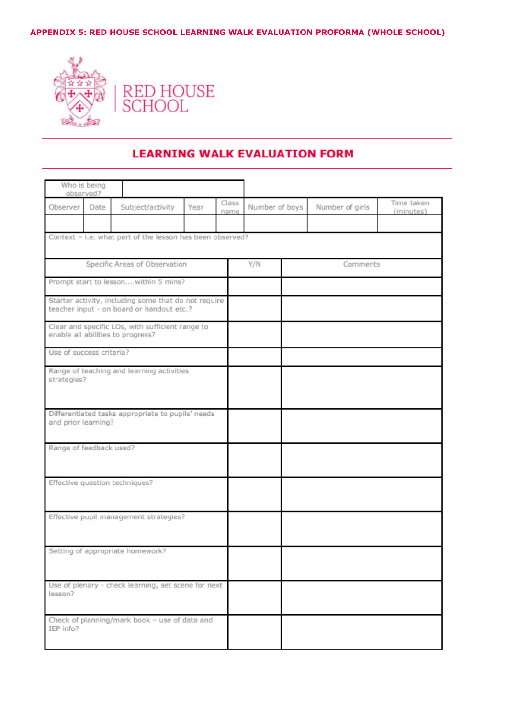# **APPENDIX 5: RED HOUSE SCHOOL LEARNING WALK EVALUATION PROFORMA (WHOLE SCHOOL)**



# **LEARNING WALK EVALUATION FORM**

| Who is being<br>observed?              |      |                                                                                                   |      |               |                |  |                 |                         |
|----------------------------------------|------|---------------------------------------------------------------------------------------------------|------|---------------|----------------|--|-----------------|-------------------------|
| Observer                               | Date | Subject/activity                                                                                  | Year | Class<br>name | Number of boys |  | Number of girls | Time taken<br>(minutes) |
|                                        |      | Context - i.e. what part of the lesson has been observed?                                         |      |               |                |  |                 |                         |
|                                        |      | Specific Areas of Observation                                                                     |      |               | Y/N            |  | Comments        |                         |
|                                        |      | Prompt start to lessonwithin 5 mins?                                                              |      |               |                |  |                 |                         |
|                                        |      | Starter activity, including some that do not require<br>teacher input - on board or handout etc.? |      |               |                |  |                 |                         |
|                                        |      | Clear and specific LOs, with sufficient range to<br>enable all abilities to progress?             |      |               |                |  |                 |                         |
| Use of success criteria?               |      |                                                                                                   |      |               |                |  |                 |                         |
| strategies?                            |      | Range of teaching and learning activities                                                         |      |               |                |  |                 |                         |
| and prior learning?                    |      | Differentiated tasks appropriate to pupils' needs                                                 |      |               |                |  |                 |                         |
| Range of feedback used?                |      |                                                                                                   |      |               |                |  |                 |                         |
| Effective question techniques?         |      |                                                                                                   |      |               |                |  |                 |                         |
| Effective pupil management strategies? |      |                                                                                                   |      |               |                |  |                 |                         |
|                                        |      | Setting of appropriate homework?                                                                  |      |               |                |  |                 |                         |
| lesson?                                |      | Use of plenary - check learning, set scene for next                                               |      |               |                |  |                 |                         |
| IEP info?                              |      | Check of planning/mark book - use of data and                                                     |      |               |                |  |                 |                         |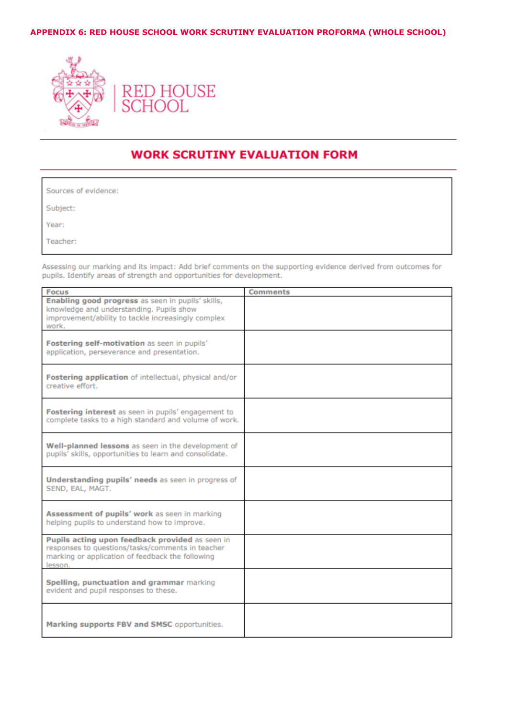## APPENDIX 6: RED HOUSE SCHOOL WORK SCRUTINY EVALUATION PROFORMA (WHOLE SCHOOL)



# **WORK SCRUTINY EVALUATION FORM**

| Sources of evidence: |  |
|----------------------|--|
| Subject:             |  |
| Year:                |  |
| Teacher:             |  |

Assessing our marking and its impact: Add brief comments on the supporting evidence derived from outcomes for pupils. Identify areas of strength and opportunities for development.

| <b>Focus</b>                                                                                                                                                       | <b>Comments</b> |
|--------------------------------------------------------------------------------------------------------------------------------------------------------------------|-----------------|
| Enabling good progress as seen in pupils' skills,<br>knowledge and understanding. Pupils show<br>improvement/ability to tackle increasingly complex<br>work.       |                 |
| Fostering self-motivation as seen in pupils'<br>application, perseverance and presentation.                                                                        |                 |
| Fostering application of intellectual, physical and/or<br>creative effort.                                                                                         |                 |
| Fostering interest as seen in pupils' engagement to<br>complete tasks to a high standard and volume of work.                                                       |                 |
| Well-planned lessons as seen in the development of<br>pupils' skills, opportunities to learn and consolidate.                                                      |                 |
| <b>Understanding pupils' needs</b> as seen in progress of<br>SEND, EAL, MAGT.                                                                                      |                 |
| Assessment of pupils' work as seen in marking<br>helping pupils to understand how to improve.                                                                      |                 |
| Pupils acting upon feedback provided as seen in<br>responses to questions/tasks/comments in teacher<br>marking or application of feedback the following<br>lesson. |                 |
| Spelling, punctuation and grammar marking<br>evident and pupil responses to these.                                                                                 |                 |
| Marking supports FBV and SMSC opportunities.                                                                                                                       |                 |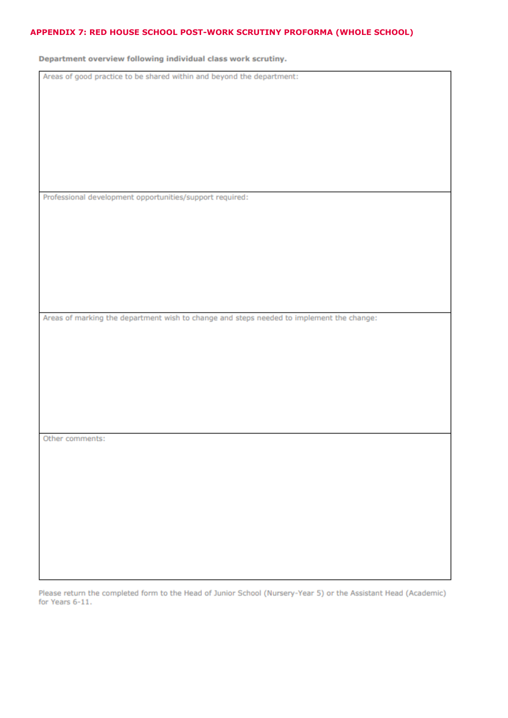## APPENDIX 7: RED HOUSE SCHOOL POST-WORK SCRUTINY PROFORMA (WHOLE SCHOOL)

Department overview following individual class work scrutiny.

Areas of good practice to be shared within and beyond the department:

Professional development opportunities/support required:

Areas of marking the department wish to change and steps needed to implement the change:

Other comments:

Please return the completed form to the Head of Junior School (Nursery-Year 5) or the Assistant Head (Academic) for Years 6-11.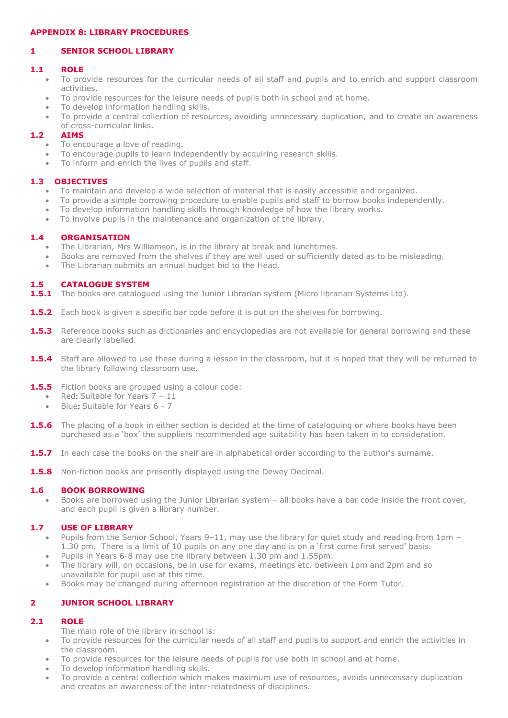## **APPENDIX 8: LIBRARY PROCEDURES**

# **1 SENIOR SCHOOL LIBRARY**

#### **1.1 ROLE**

- To provide resources for the curricular needs of all staff and pupils and to enrich and support classroom activities.
- To provide resources for the leisure needs of pupils both in school and at home.
- To develop information handling skills.
- To provide a central collection of resources, avoiding unnecessary duplication, and to create an awareness of cross-curricular links.

# **1.2 AIMS**

- To encourage a love of reading.
- To encourage pupils to learn independently by acquiring research skills.
- To inform and enrich the lives of pupils and staff.

### **1.3 OBJECTIVES**

- To maintain and develop a wide selection of material that is easily accessible and organized.
- To provide a simple borrowing procedure to enable pupils and staff to borrow books independently.
- To develop information handling skills through knowledge of how the library works.
- To involve pupils in the maintenance and organization of the library.

### **1.4 ORGANISATION**

- The Librarian, Mrs Williamson, is in the library at break and lunchtimes.
- Books are removed from the shelves if they are well used or sufficiently dated as to be misleading.
- The Librarian submits an annual budget bid to the Head.

### **1.5 CATALOGUE SYSTEM**

- **1.5.1** The books are catalogued using the Junior Librarian system (Micro librarian Systems Ltd).
- **1.5.2** Each book is given a specific bar code before it is put on the shelves for borrowing.
- 1.5.3 Reference books such as dictionaries and encyclopedias are not available for general borrowing and these are clearly labelled.
- **1.5.4** Staff are allowed to use these during a lesson in the classroom, but it is hoped that they will be returned to the library following classroom use.
- **1.5.5** Fiction books are grouped using a colour code:
	- Red: Suitable for Years 7 11
	- Blue: Suitable for Years 6 7
- **1.5.6** The placing of a book in either section is decided at the time of cataloguing or where books have been purchased as a 'box' the suppliers recommended age suitability has been taken in to consideration.
- **1.5.7** In each case the books on the shelf are in alphabetical order according to the author's surname.
- **1.5.8** Non-fiction books are presently displayed using the Dewey Decimal.

#### **1.6 BOOK BORROWING**

 Books are borrowed using the Junior Librarian system – all books have a bar code inside the front cover, and each pupil is given a library number.

#### **1.7 USE OF LIBRARY**

- Pupils from the Senior School, Years 9–11, may use the library for quiet study and reading from 1pm 1.30 pm. There is a limit of 10 pupils on any one day and is on a 'first come first served' basis.
- Pupils in Years 6-8 may use the library between 1.30 pm and 1.55pm.
- The library will, on occasions, be in use for exams, meetings etc. between 1pm and 2pm and so unavailable for pupil use at this time.
- Books may be changed during afternoon registration at the discretion of the Form Tutor.

# **2 JUNIOR SCHOOL LIBRARY**

#### **2.1 ROLE**

- The main role of the library in school is:
- To provide resources for the curricular needs of all staff and pupils to support and enrich the activities in the classroom.
- To provide resources for the leisure needs of pupils for use both in school and at home.
- To develop information handling skills.
- To provide a central collection which makes maximum use of resources, avoids unnecessary duplication and creates an awareness of the inter-relatedness of disciplines.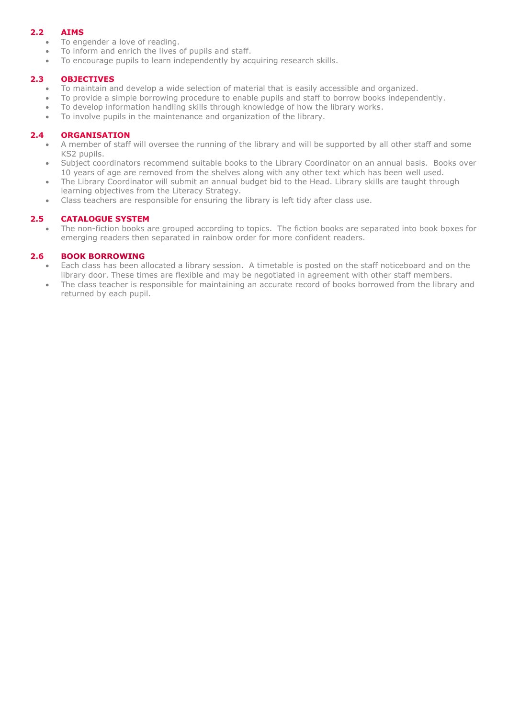# **2.2 AIMS**

- To engender a love of reading.
- To inform and enrich the lives of pupils and staff.
- To encourage pupils to learn independently by acquiring research skills.

## **2.3 OBJECTIVES**

- To maintain and develop a wide selection of material that is easily accessible and organized.
- To provide a simple borrowing procedure to enable pupils and staff to borrow books independently.
- To develop information handling skills through knowledge of how the library works.
- To involve pupils in the maintenance and organization of the library.

## **2.4 ORGANISATION**

- A member of staff will oversee the running of the library and will be supported by all other staff and some KS2 pupils.
- Subject coordinators recommend suitable books to the Library Coordinator on an annual basis. Books over 10 years of age are removed from the shelves along with any other text which has been well used.
- The Library Coordinator will submit an annual budget bid to the Head. Library skills are taught through learning objectives from the Literacy Strategy.
- Class teachers are responsible for ensuring the library is left tidy after class use.

# **2.5 CATALOGUE SYSTEM**

 The non-fiction books are grouped according to topics. The fiction books are separated into book boxes for emerging readers then separated in rainbow order for more confident readers.

# **2.6 BOOK BORROWING**

- Each class has been allocated a library session. A timetable is posted on the staff noticeboard and on the library door. These times are flexible and may be negotiated in agreement with other staff members.
- The class teacher is responsible for maintaining an accurate record of books borrowed from the library and returned by each pupil.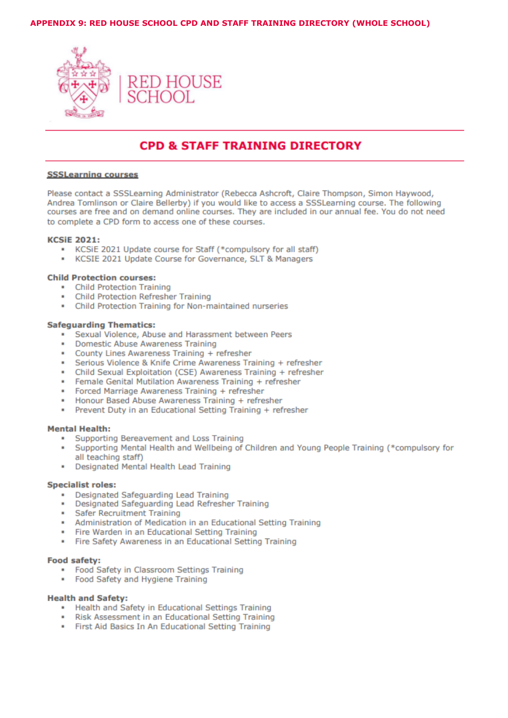#### APPENDIX 9: RED HOUSE SCHOOL CPD AND STAFF TRAINING DIRECTORY (WHOLE SCHOOL)



# **CPD & STAFF TRAINING DIRECTORY**

#### **SSSLearning courses**

Please contact a SSSLearning Administrator (Rebecca Ashcroft, Claire Thompson, Simon Haywood, Andrea Tomlinson or Claire Bellerby) if you would like to access a SSSLearning course. The following courses are free and on demand online courses. They are included in our annual fee. You do not need to complete a CPD form to access one of these courses.

#### **KCSIE 2021:**

- . KCSiE 2021 Update course for Staff (\*compulsory for all staff)
- KCSIE 2021 Update Course for Governance, SLT & Managers

#### **Child Protection courses:**

- Child Protection Training
- $\blacksquare$ **Child Protection Refresher Training**
- . Child Protection Training for Non-maintained nurseries

#### **Safeguarding Thematics:**

- · Sexual Violence, Abuse and Harassment between Peers
- Domestic Abuse Awareness Training
- County Lines Awareness Training + refresher  $\sim$
- · Serious Violence & Knife Crime Awareness Training + refresher
- Child Sexual Exploitation (CSE) Awareness Training + refresher
- Female Genital Mutilation Awareness Training + refresher
- Forced Marriage Awareness Training + refresher
- Honour Based Abuse Awareness Training + refresher
- Prevent Duty in an Educational Setting Training + refresher

#### **Mental Health:**

- Supporting Bereavement and Loss Training
- Supporting Mental Health and Wellbeing of Children and Young People Training (\*compulsory for all teaching staff)
- Designated Mental Health Lead Training

#### **Specialist roles:**

- Designated Safeguarding Lead Training
- Designated Safeguarding Lead Refresher Training
- · Safer Recruitment Training
- Administration of Medication in an Educational Setting Training
- Fire Warden in an Educational Setting Training
- Fire Safety Awareness in an Educational Setting Training

#### **Food safety:**

- Food Safety in Classroom Settings Training
- Food Safety and Hygiene Training

#### **Health and Safety:**

- . Health and Safety in Educational Settings Training
- Risk Assessment in an Educational Setting Training
- . First Aid Basics In An Educational Setting Training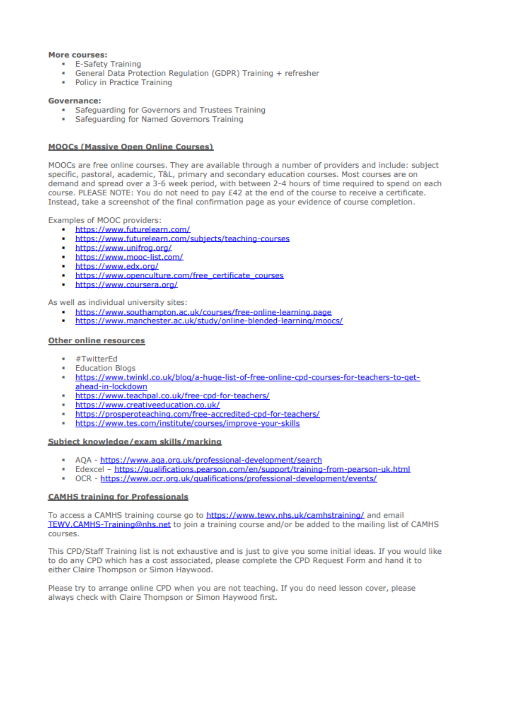#### More courses:

- E-Safety Training
- General Data Protection Regulation (GDPR) Training + refresher
- Policy in Practice Training

#### **Governance:**

- Safeguarding for Governors and Trustees Training
- · Safeguarding for Named Governors Training

#### **MOOCs (Massive Open Online Courses)**

MOOCs are free online courses. They are available through a number of providers and include: subject specific, pastoral, academic, T&L, primary and secondary education courses. Most courses are on demand and spread over a 3-6 week period, with between 2-4 hours of time required to spend on each course. PLEASE NOTE: You do not need to pay £42 at the end of the course to receive a certificate. Instead, take a screenshot of the final confirmation page as your evidence of course completion.

Examples of MOOC providers:

- https://www.futurelearn.com/
- https://www.futurelearn.com/subjects/teaching-courses ۰.
- https://www.unifrog.org/  $\mathbf{r}$
- https://www.mooc-list.com/
- https://www.edx.org/
- https://www.openculture.com/free\_certificate\_courses
- https://www.coursera.org/

As well as individual university sites:

- https://www.southampton.ac.uk/courses/free-online-learning.page
- https://www.manchester.ac.uk/study/online-blended-learning/moocs/

#### **Other online resources**

- #TwitterEd
- **Education Blogs**
- https://www.twinkl.co.uk/blog/a-huge-list-of-free-online-cpd-courses-for-teachers-to-getahead-in-lockdown
- https://www.teachpal.co.uk/free-cpd-for-teachers/
- https://www.creativeeducation.co.uk/
- https://prosperoteaching.com/free-accredited-cpd-for-teachers/
- https://www.tes.com/institute/courses/improve-your-skills

#### Subiect knowledge/exam skills/marking

- \* AQA https://www.aqa.org.uk/professional-development/search
- Edexcel https://qualifications.pearson.com/en/support/training-from-pearson-uk.html
- OCR https://www.ocr.org.uk/qualifications/professional-development/events/

#### **CAMHS training for Professionals**

To access a CAMHS training course go to https://www.tewv.nhs.uk/camhstraining/ and email TEWV.CAMHS-Training@nhs.net to join a training course and/or be added to the mailing list of CAMHS courses.

This CPD/Staff Training list is not exhaustive and is just to give you some initial ideas. If you would like to do any CPD which has a cost associated, please complete the CPD Request Form and hand it to either Claire Thompson or Simon Haywood.

Please try to arrange online CPD when you are not teaching. If you do need lesson cover, please always check with Claire Thompson or Simon Haywood first.